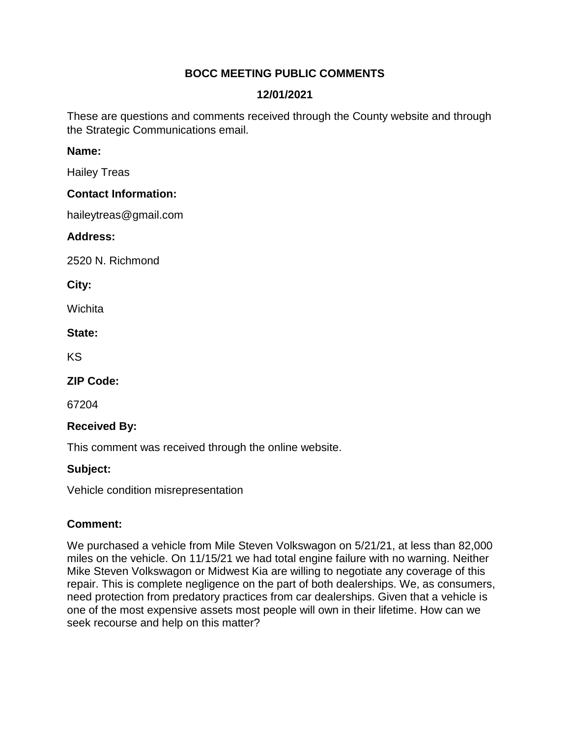# **BOCC MEETING PUBLIC COMMENTS**

# **12/01/2021**

These are questions and comments received through the County website and through the Strategic Communications email.

### **Name:**

Hailey Treas

### **Contact Information:**

haileytreas@gmail.com

### **Address:**

2520 N. Richmond

**City:** 

**Wichita** 

### **State:**

KS

## **ZIP Code:**

67204

## **Received By:**

This comment was received through the online website.

## **Subject:**

Vehicle condition misrepresentation

## **Comment:**

We purchased a vehicle from Mile Steven Volkswagon on 5/21/21, at less than 82,000 miles on the vehicle. On 11/15/21 we had total engine failure with no warning. Neither Mike Steven Volkswagon or Midwest Kia are willing to negotiate any coverage of this repair. This is complete negligence on the part of both dealerships. We, as consumers, need protection from predatory practices from car dealerships. Given that a vehicle is one of the most expensive assets most people will own in their lifetime. How can we seek recourse and help on this matter?